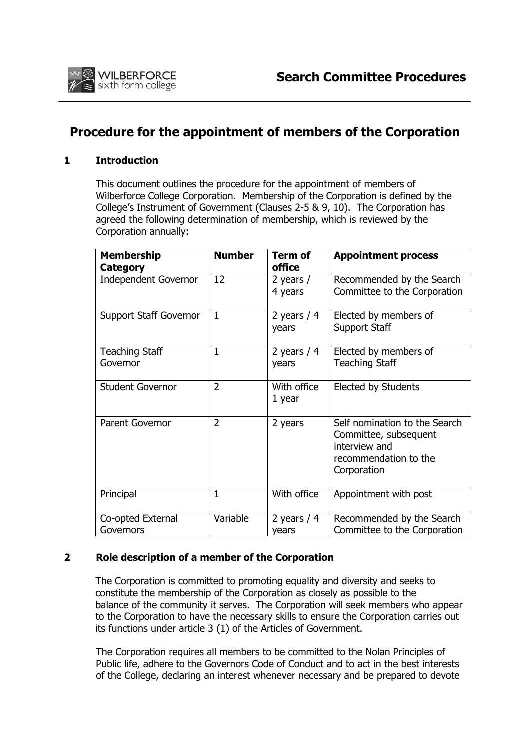

# **Procedure for the appointment of members of the Corporation**

### **1 Introduction**

This document outlines the procedure for the appointment of members of Wilberforce College Corporation. Membership of the Corporation is defined by the College's Instrument of Government (Clauses 2-5 & 9, 10). The Corporation has agreed the following determination of membership, which is reviewed by the Corporation annually:

| <b>Membership</b><br>Category     | <b>Number</b>  | Term of<br><b>office</b> | <b>Appointment process</b>                                                                                      |
|-----------------------------------|----------------|--------------------------|-----------------------------------------------------------------------------------------------------------------|
| <b>Independent Governor</b>       | 12             | 2 years $/$<br>4 years   | Recommended by the Search<br>Committee to the Corporation                                                       |
| <b>Support Staff Governor</b>     | $\mathbf{1}$   | 2 years $/4$<br>years    | Elected by members of<br><b>Support Staff</b>                                                                   |
| <b>Teaching Staff</b><br>Governor | $\mathbf 1$    | 2 years $/4$<br>years    | Elected by members of<br><b>Teaching Staff</b>                                                                  |
| <b>Student Governor</b>           | $\overline{2}$ | With office<br>1 year    | <b>Elected by Students</b>                                                                                      |
| Parent Governor                   | $\overline{2}$ | 2 years                  | Self nomination to the Search<br>Committee, subsequent<br>interview and<br>recommendation to the<br>Corporation |
| Principal                         | $\mathbf{1}$   | With office              | Appointment with post                                                                                           |
| Co-opted External<br>Governors    | Variable       | 2 years $/4$<br>years    | Recommended by the Search<br>Committee to the Corporation                                                       |

# **2 Role description of a member of the Corporation**

The Corporation is committed to promoting equality and diversity and seeks to constitute the membership of the Corporation as closely as possible to the balance of the community it serves. The Corporation will seek members who appear to the Corporation to have the necessary skills to ensure the Corporation carries out its functions under article 3 (1) of the Articles of Government.

The Corporation requires all members to be committed to the Nolan Principles of Public life, adhere to the Governors Code of Conduct and to act in the best interests of the College, declaring an interest whenever necessary and be prepared to devote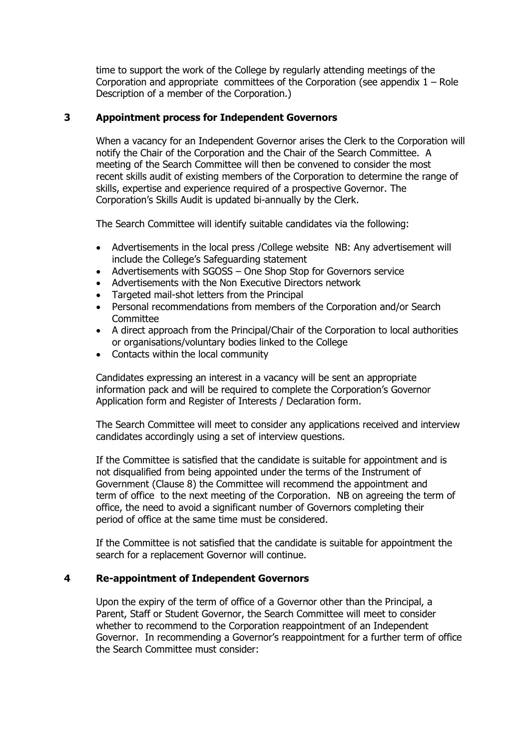time to support the work of the College by regularly attending meetings of the Corporation and appropriate committees of the Corporation (see appendix  $1 -$  Role Description of a member of the Corporation.)

# **3 Appointment process for Independent Governors**

When a vacancy for an Independent Governor arises the Clerk to the Corporation will notify the Chair of the Corporation and the Chair of the Search Committee. A meeting of the Search Committee will then be convened to consider the most recent skills audit of existing members of the Corporation to determine the range of skills, expertise and experience required of a prospective Governor. The Corporation's Skills Audit is updated bi-annually by the Clerk.

The Search Committee will identify suitable candidates via the following:

- Advertisements in the local press /College website NB: Any advertisement will include the College's Safeguarding statement
- Advertisements with SGOSS One Shop Stop for Governors service
- Advertisements with the Non Executive Directors network
- Targeted mail-shot letters from the Principal
- Personal recommendations from members of the Corporation and/or Search **Committee**
- A direct approach from the Principal/Chair of the Corporation to local authorities or organisations/voluntary bodies linked to the College
- Contacts within the local community

Candidates expressing an interest in a vacancy will be sent an appropriate information pack and will be required to complete the Corporation's Governor Application form and Register of Interests / Declaration form.

The Search Committee will meet to consider any applications received and interview candidates accordingly using a set of interview questions.

If the Committee is satisfied that the candidate is suitable for appointment and is not disqualified from being appointed under the terms of the Instrument of Government (Clause 8) the Committee will recommend the appointment and term of office to the next meeting of the Corporation. NB on agreeing the term of office, the need to avoid a significant number of Governors completing their period of office at the same time must be considered.

If the Committee is not satisfied that the candidate is suitable for appointment the search for a replacement Governor will continue.

### **4 Re-appointment of Independent Governors**

Upon the expiry of the term of office of a Governor other than the Principal, a Parent, Staff or Student Governor, the Search Committee will meet to consider whether to recommend to the Corporation reappointment of an Independent Governor. In recommending a Governor's reappointment for a further term of office the Search Committee must consider: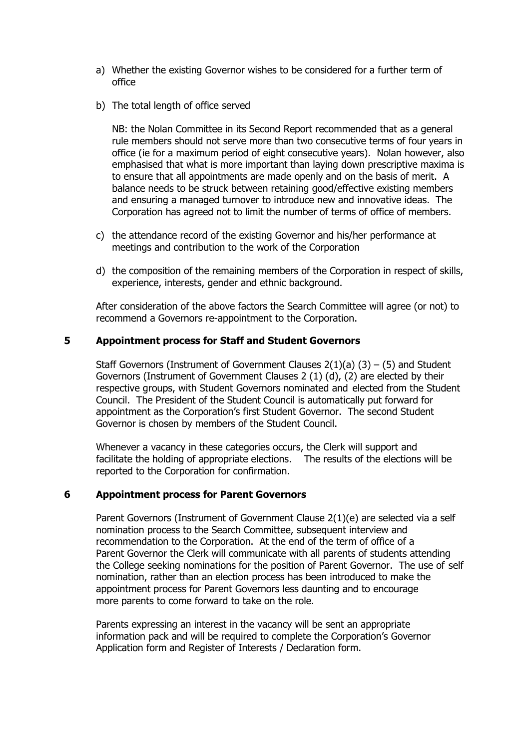- a) Whether the existing Governor wishes to be considered for a further term of office
- b) The total length of office served

NB: the Nolan Committee in its Second Report recommended that as a general rule members should not serve more than two consecutive terms of four years in office (ie for a maximum period of eight consecutive years). Nolan however, also emphasised that what is more important than laying down prescriptive maxima is to ensure that all appointments are made openly and on the basis of merit. A balance needs to be struck between retaining good/effective existing members and ensuring a managed turnover to introduce new and innovative ideas. The Corporation has agreed not to limit the number of terms of office of members.

- c) the attendance record of the existing Governor and his/her performance at meetings and contribution to the work of the Corporation
- d) the composition of the remaining members of the Corporation in respect of skills, experience, interests, gender and ethnic background.

 After consideration of the above factors the Search Committee will agree (or not) to recommend a Governors re-appointment to the Corporation.

#### **5 Appointment process for Staff and Student Governors**

Staff Governors (Instrument of Government Clauses  $2(1)(a)$  (3) – (5) and Student Governors (Instrument of Government Clauses 2 (1) (d), (2) are elected by their respective groups, with Student Governors nominated and elected from the Student Council. The President of the Student Council is automatically put forward for appointment as the Corporation's first Student Governor. The second Student Governor is chosen by members of the Student Council.

Whenever a vacancy in these categories occurs, the Clerk will support and facilitate the holding of appropriate elections. The results of the elections will be reported to the Corporation for confirmation.

#### **6 Appointment process for Parent Governors**

Parent Governors (Instrument of Government Clause 2(1)(e) are selected via a self nomination process to the Search Committee, subsequent interview and recommendation to the Corporation. At the end of the term of office of a Parent Governor the Clerk will communicate with all parents of students attending the College seeking nominations for the position of Parent Governor. The use of self nomination, rather than an election process has been introduced to make the appointment process for Parent Governors less daunting and to encourage more parents to come forward to take on the role.

Parents expressing an interest in the vacancy will be sent an appropriate information pack and will be required to complete the Corporation's Governor Application form and Register of Interests / Declaration form.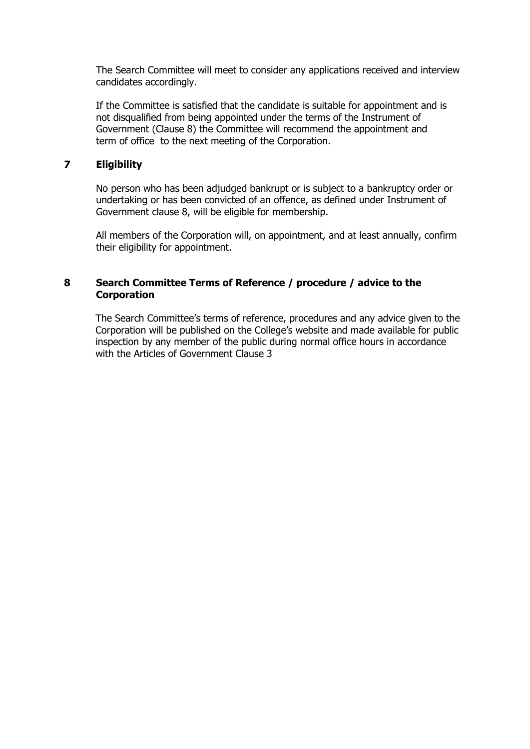The Search Committee will meet to consider any applications received and interview candidates accordingly.

If the Committee is satisfied that the candidate is suitable for appointment and is not disqualified from being appointed under the terms of the Instrument of Government (Clause 8) the Committee will recommend the appointment and term of office to the next meeting of the Corporation.

# **7 Eligibility**

No person who has been adjudged bankrupt or is subject to a bankruptcy order or undertaking or has been convicted of an offence, as defined under Instrument of Government clause 8, will be eligible for membership.

All members of the Corporation will, on appointment, and at least annually, confirm their eligibility for appointment.

# **8 Search Committee Terms of Reference / procedure / advice to the Corporation**

The Search Committee's terms of reference, procedures and any advice given to the Corporation will be published on the College's website and made available for public inspection by any member of the public during normal office hours in accordance with the Articles of Government Clause 3